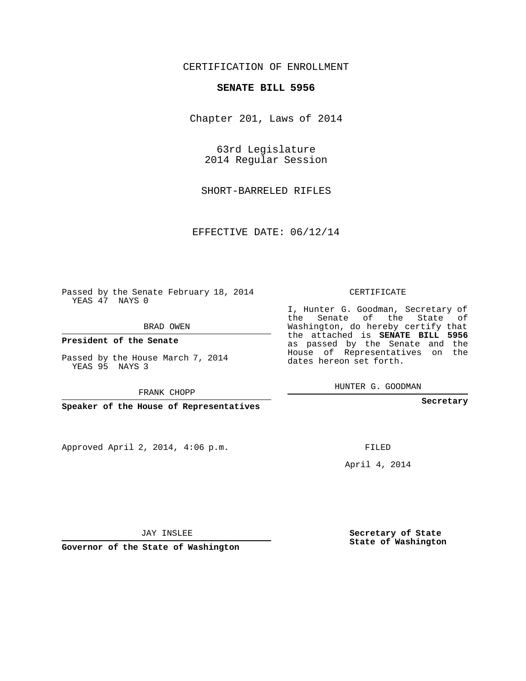## CERTIFICATION OF ENROLLMENT

## **SENATE BILL 5956**

Chapter 201, Laws of 2014

63rd Legislature 2014 Regular Session

SHORT-BARRELED RIFLES

EFFECTIVE DATE: 06/12/14

Passed by the Senate February 18, 2014 YEAS 47 NAYS 0

BRAD OWEN

**President of the Senate**

Passed by the House March 7, 2014 YEAS 95 NAYS 3

FRANK CHOPP

**Speaker of the House of Representatives**

Approved April 2, 2014, 4:06 p.m.

CERTIFICATE

I, Hunter G. Goodman, Secretary of the Senate of the State of Washington, do hereby certify that the attached is **SENATE BILL 5956** as passed by the Senate and the House of Representatives on the dates hereon set forth.

HUNTER G. GOODMAN

**Secretary**

FILED

April 4, 2014

**Secretary of State State of Washington**

JAY INSLEE

**Governor of the State of Washington**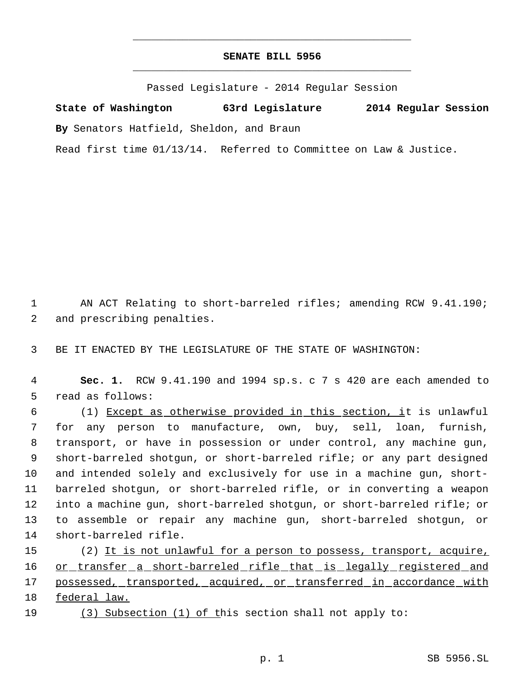## **SENATE BILL 5956** \_\_\_\_\_\_\_\_\_\_\_\_\_\_\_\_\_\_\_\_\_\_\_\_\_\_\_\_\_\_\_\_\_\_\_\_\_\_\_\_\_\_\_\_\_

\_\_\_\_\_\_\_\_\_\_\_\_\_\_\_\_\_\_\_\_\_\_\_\_\_\_\_\_\_\_\_\_\_\_\_\_\_\_\_\_\_\_\_\_\_

Passed Legislature - 2014 Regular Session

**State of Washington 63rd Legislature 2014 Regular Session By** Senators Hatfield, Sheldon, and Braun Read first time 01/13/14. Referred to Committee on Law & Justice.

 AN ACT Relating to short-barreled rifles; amending RCW 9.41.190; and prescribing penalties.

BE IT ENACTED BY THE LEGISLATURE OF THE STATE OF WASHINGTON:

 **Sec. 1.** RCW 9.41.190 and 1994 sp.s. c 7 s 420 are each amended to read as follows:

 (1) Except as otherwise provided in this section, it is unlawful for any person to manufacture, own, buy, sell, loan, furnish, transport, or have in possession or under control, any machine gun, short-barreled shotgun, or short-barreled rifle; or any part designed and intended solely and exclusively for use in a machine gun, short- barreled shotgun, or short-barreled rifle, or in converting a weapon into a machine gun, short-barreled shotgun, or short-barreled rifle; or to assemble or repair any machine gun, short-barreled shotgun, or short-barreled rifle.

15 (2) It is not unlawful for a person to possess, transport, acquire, 16 or transfer a short-barreled rifle that is legally registered and possessed, transported, acquired, or transferred in accordance with federal law.

(3) Subsection (1) of this section shall not apply to: